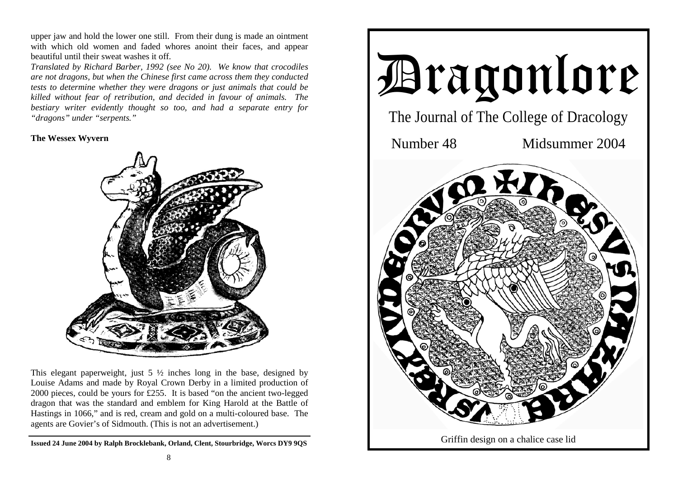upper jaw and hold the lower one still. From their dung is made an ointment with which old women and faded whores anoint their faces, and appear beautiful until their sweat washes it off.

*Translated by Richard Barber, 1992 (see No 20). We know that crocodiles are not dragons, but when the Chinese first came across them they conducted tests to determine whether they were dragons or just animals that could be killed without fear of retribution, and decided in favour of animals. The bestiary writer evidently thought so too, and had a separate entry for "dragons" under "serpents."* 

## **The Wessex Wyvern**



This elegant paperweight, just  $5\frac{1}{2}$  inches long in the base, designed by Louise Adams and made by Royal Crown Derby in a limited production of 2000 pieces, could be yours for £255. It is based "on the ancient two-legged dragon that was the standard and emblem for King Harold at the Battle of Hastings in 1066," and is red, cream and gold on a multi-coloured base. The agents are Govier's of Sidmouth. (This is not an advertisement.)

**Issued 24 June 2004 by Ralph Brocklebank, Orland, Clent, Stourbridge, Worcs DY9 9QS**

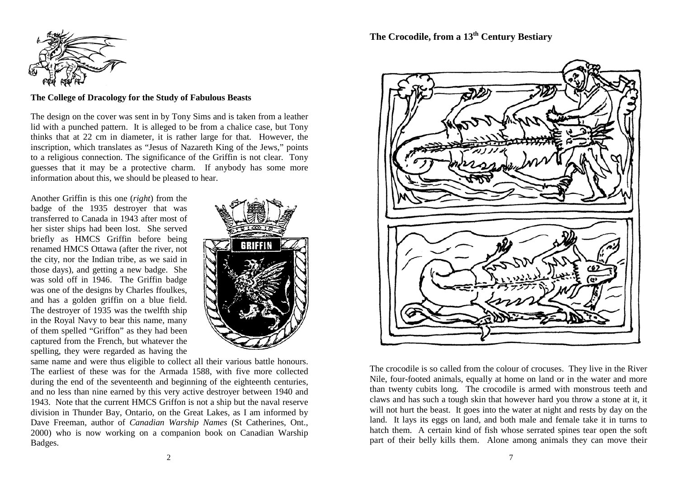

## **The College of Dracology for the Study of Fabulous Beasts**

The design on the cover was sent in by Tony Sims and is taken from a leather lid with a punched pattern. It is alleged to be from a chalice case, but Tony thinks that at 22 cm in diameter, it is rather large for that. However, the inscription, which translates as "Jesus of Nazareth King of the Jews," points to a religious connection. The significance of the Griffin is not clear. Tony guesses that it may be a protective charm. If anybody has some more information about this, we should be pleased to hear.

Another Griffin is this one (*right*) from the badge of the 1935 destroyer that was transferred to Canada in 1943 after most of her sister ships had been lost. She served briefly as HMCS Griffin before being renamed HMCS Ottawa (after the river, not the city, nor the Indian tribe, as we said in those days), and getting a new badge. She was sold off in 1946. The Griffin badge was one of the designs by Charles ffoulkes, and has a golden griffin on a blue field. The destroyer of 1935 was the twelfth ship in the Royal Navy to bear this name, many of them spelled "Griffon" as they had been captured from the French, but whatever the spelling, they were regarded as having the



same name and were thus eligible to collect all their various battle honours. The earliest of these was for the Armada 1588, with five more collected during the end of the seventeenth and beginning of the eighteenth centuries, and no less than nine earned by this very active destroyer between 1940 and 1943. Note that the current HMCS Griffon is not a ship but the naval reserve division in Thunder Bay, Ontario, on the Great Lakes, as I am informed by Dave Freeman, author of *Canadian Warship Names* (St Catherines, Ont., 2000) who is now working on a companion book on Canadian Warship Badges.

# **The Crocodile, from a 13th Century Bestiary**



The crocodile is so called from the colour of crocuses. They live in the River Nile, four-footed animals, equally at home on land or in the water and more than twenty cubits long. The crocodile is armed with monstrous teeth and claws and has such a tough skin that however hard you throw a stone at it, it will not hurt the beast. It goes into the water at night and rests by day on the land. It lays its eggs on land, and both male and female take it in turns to hatch them. A certain kind of fish whose serrated spines tear open the soft part of their belly kills them. Alone among animals they can move their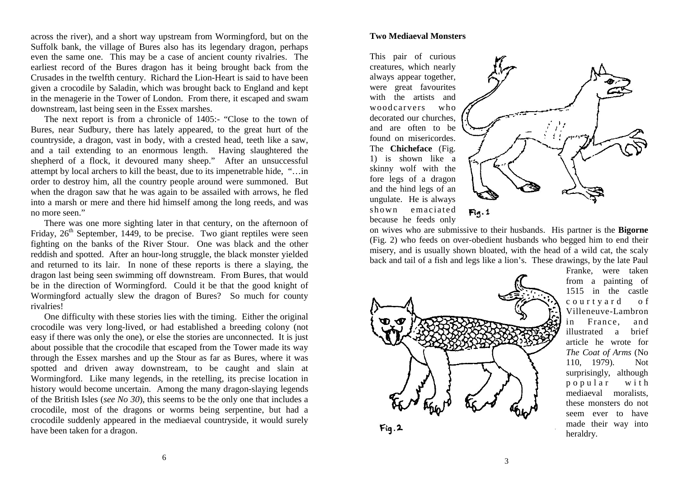across the river), and a short way upstream from Wormingford, but on the Suffolk bank, the village of Bures also has its legendary dragon, perhaps even the same one. This may be a case of ancient county rivalries. The earliest record of the Bures dragon has it being brought back from the Crusades in the twelfth century. Richard the Lion-Heart is said to have been given a crocodile by Saladin, which was brought back to England and kept in the menagerie in the Tower of London. From there, it escaped and swam downstream, last being seen in the Essex marshes.

The next report is from a chronicle of 1405:- "Close to the town of Bures, near Sudbury, there has lately appeared, to the great hurt of the countryside, a dragon, vast in body, with a crested head, teeth like a saw, and a tail extending to an enormous length. Having slaughtered the shepherd of a flock, it devoured many sheep." After an unsuccessful attempt by local archers to kill the beast, due to its impenetrable hide, "…in order to destroy him, all the country people around were summoned. But when the dragon saw that he was again to be assailed with arrows, he fled into a marsh or mere and there hid himself among the long reeds, and was no more seen."

 There was one more sighting later in that century, on the afternoon of Friday,  $26<sup>th</sup>$  September, 1449, to be precise. Two giant reptiles were seen fighting on the banks of the River Stour. One was black and the other reddish and spotted. After an hour-long struggle, the black monster yielded and returned to its lair. In none of these reports is there a slaying, the dragon last being seen swimming off downstream. From Bures, that would be in the direction of Wormingford. Could it be that the good knight of Wormingford actually slew the dragon of Bures? So much for county rivalries!

 One difficulty with these stories lies with the timing. Either the original crocodile was very long-lived, or had established a breeding colony (not easy if there was only the one), or else the stories are unconnected. It is just about possible that the crocodile that escaped from the Tower made its way through the Essex marshes and up the Stour as far as Bures, where it was spotted and driven away downstream, to be caught and slain at Wormingford. Like many legends, in the retelling, its precise location in history would become uncertain. Among the many dragon-slaying legends of the British Isles (*see No 30*), this seems to be the only one that includes a crocodile, most of the dragons or worms being serpentine, but had a crocodile suddenly appeared in the mediaeval countryside, it would surely have been taken for a dragon.

#### **Two Mediaeval Monsters**

This pair of curious creatures, which nearly always appear together, were great favourites with the artists and woodcarvers who decorated our churches, and are often to be found on misericordes. The **Chicheface** (Fig. 1) is shown like a skinny wolf with the fore legs of a dragon and the hind legs of an ungulate. He is always shown emaciated because he feeds only



on wives who are submissive to their husbands. His partner is the **Bigorne**  (Fig. 2) who feeds on over-obedient husbands who begged him to end their misery, and is usually shown bloated, with the head of a wild cat, the scaly back and tail of a fish and legs like a lion's. These drawings, by the late Paul



Franke, were taken from a painting of 1515 in the castle c o u r t y a r d o f Villeneuve-Lambron in France, and illustrated a brief article he wrote for *The Coat of Arms* (No 110, 1979). Not surprisingly, although p <sup>o</sup> p <sup>u</sup> l <sup>a</sup> <sup>r</sup> <sup>w</sup> i <sup>t</sup> h mediaeval moralists, these monsters do not seem ever to have made their way into heraldry.